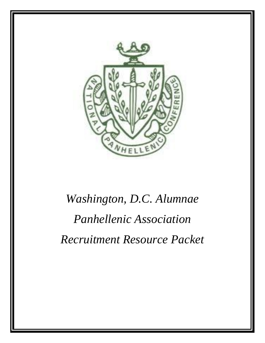

# *Washington, D.C. Alumnae Panhellenic Association Recruitment Resource Packet*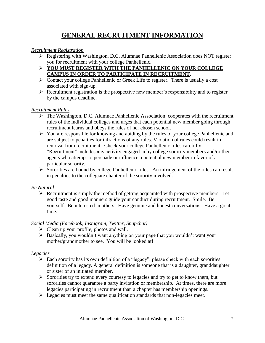## **GENERAL RECRUITMENT INFORMATION**

#### *Recruitment Registration*

- Registering with Washington, D.C. Alumnae Panhellenic Association does NOT register you for recruitment with your college Panhellenic.
- **YOU MUST REGISTER WITH THE PANHELLENIC ON YOUR COLLEGE CAMPUS IN ORDER TO PARTICIPATE IN RECRUITMENT**.
- $\triangleright$  Contact your college Panhellenic or Greek Life to register. There is usually a cost associated with sign-up.
- $\triangleright$  Recruitment registration is the prospective new member's responsibility and to register by the campus deadline.

#### *Recruitment Rules*

- $\triangleright$  The Washington, D.C. Alumnae Panhellenic Association cooperates with the recruitment rules of the individual colleges and urges that each potential new member going through recruitment learns and obeys the rules of her chosen school.
- $\triangleright$  You are responsible for knowing and abiding by the rules of your college Panhellenic and are subject to penalties for infractions of any rules. Violation of rules could result in removal from recruitment. Check your college Panhellenic rules carefully. "Recruitment" includes any activity engaged in by college sorority members and/or their agents who attempt to persuade or influence a potential new member in favor of a particular sorority.
- $\triangleright$  Sororities are bound by college Panhellenic rules. An infringement of the rules can result in penalties to the collegiate chapter of the sorority involved.

### *Be Natural*

 $\triangleright$  Recruitment is simply the method of getting acquainted with prospective members. Let good taste and good manners guide your conduct during recruitment. Smile. Be yourself. Be interested in others. Have genuine and honest conversations. Have a great time.

### *Social Media (Facebook, Instagram, Twitter, Snapchat)*

- $\triangleright$  Clean up your profile, photos and wall.
- $\triangleright$  Basically, you wouldn't want anything on your page that you wouldn't want your mother/grandmother to see. You will be looked at!

#### *Legacies*

- $\triangleright$  Each sorority has its own definition of a "legacy", please check with each sororities definition of a legacy. A general definition is someone that is a daughter, granddaughter or sister of an initiated member.
- $\triangleright$  Sororities try to extend every courtesy to legacies and try to get to know them, but sororities cannot guarantee a party invitation or membership. At times, there are more legacies participating in recruitment than a chapter has membership openings.
- $\triangleright$  Legacies must meet the same qualification standards that non-legacies meet.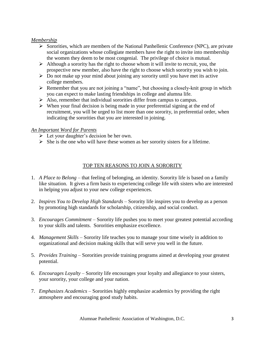#### *Membership*

- $\triangleright$  Sororities, which are members of the National Panhellenic Conference (NPC), are private social organizations whose collegiate members have the right to invite into membership the women they deem to be most congenial. The privilege of choice is mutual.
- $\triangleright$  Although a sorority has the right to choose whom it will invite to recruit, you, the prospective new member, also have the right to choose which sorority you wish to join.
- $\triangleright$  Do not make up your mind about joining any sorority until you have met its active college members.
- $\triangleright$  Remember that you are not joining a "name", but choosing a closely-knit group in which you can expect to make lasting friendships in college and alumna life.
- $\triangleright$  Also, remember that individual sororities differ from campus to campus.
- $\triangleright$  When your final decision is being made in your preferential signing at the end of recruitment, you will be urged to list more than one sorority, in preferential order, when indicating the sororities that you are interested in joining.

#### *An Important Word for Parents*

- $\triangleright$  Let your daughter's decision be her own.
- $\triangleright$  She is the one who will have these women as her sorority sisters for a lifetime.

### TOP TEN REASONS TO JOIN A SORORITY

- 1. *A Place to Belong* that feeling of belonging, an identity. Sorority life is based on a family like situation. It gives a firm basis to experiencing college life with sisters who are interested in helping you adjust to your new college experiences.
- 2. *Inspires You to Develop High Standards* Sorority life inspires you to develop as a person by promoting high standards for scholarship, citizenship, and social conduct.
- 3. *Encourages Commitment* Sorority life pushes you to meet your greatest potential according to your skills and talents. Sororities emphasize excellence.
- 4. *Management Skills* Sorority life teaches you to manage your time wisely in addition to organizational and decision making skills that will serve you well in the future.
- 5. *Provides Training* Sororities provide training programs aimed at developing your greatest potential.
- 6. *Encourages Loyalty* Sorority life encourages your loyalty and allegiance to your sisters, your sorority, your college and your nation.
- 7. *Emphasizes Academics* Sororities highly emphasize academics by providing the right atmosphere and encouraging good study habits.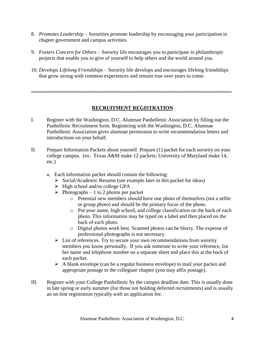- 8. *Promotes Leadership* Sororities promote leadership by encouraging your participation in chapter government and campus activities.
- 9. *Fosters Concern for Others* Sorority life encourages you to participate in philanthropic projects that enable you to give of yourself to help others and the world around you.
- 10. *Develops Lifelong Friendships* Sorority life develops and encourages lifelong friendships that grow strong with common experiences and remain true over years to come.

**\_\_\_\_\_\_\_\_\_\_\_\_\_\_\_\_\_\_\_\_\_\_\_\_\_\_\_\_\_\_\_\_\_\_\_\_\_\_\_\_\_\_\_\_\_\_\_\_\_\_\_\_\_\_\_\_\_\_**

### **RECRUITMENT REGISTRATION**

- I. Register with the Washington, D.C. Alumnae Panhellenic Association by filling out the Panhellenic Recruitment form. Registering with the Washington, D.C. Alumnae Panhellenic Association gives alumnae permission to write recommendation letters and introductions on your behalf.
- II. Prepare Information Packets about yourself. Prepare (1) packet for each sorority on your college campus. (ex: Texas A&M make 12 packets; University of Maryland make 14, etc.)
	- a. Each information packet should contain the following:
		- $\triangleright$  Social/Academic Resume (see example later in this packet for ideas)
		- $\triangleright$  High school and/or college GPA
		- $\triangleright$  Photographs 1 to 2 photos per packet
			- o Potential new members should have one photo of themselves (not a selfie or group photo) and should be the primary focus of the photo.
			- o Put your name, high school, and college classification on the back of each photo. This information may be typed on a label and then placed on the back of each photo.
			- o Digital photos work best. Scanned photos can be blurry. The expense of professional photographs is not necessary.
		- $\triangleright$  List of references. Try to secure your own recommendations from sorority members you know personally. If you ask someone to write your reference, list her name and telephone number on a separate sheet and place this at the back of each packet.
		- $\triangleright$  A blank envelope (can be a regular business envelope) to mail your packet and appropriate postage to the collegiate chapter (you may affix postage).
- III. Register with your College Panhellenic by the campus deadline date. This is usually done in late spring or early summer (for those not holding deferred recruitments) and is usually an on-line registration typically with an application fee.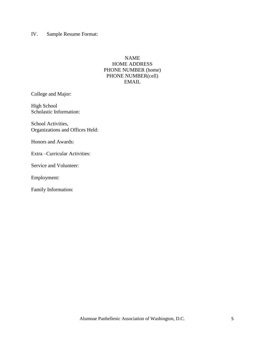IV. Sample Resume Format:

### NAME HOME ADDRESS PHONE NUMBER (home) PHONE NUMBER(cell) EMAIL

College and Major:

High School Scholastic Information:

School Activities, Organizations and Offices Held:

Honors and Awards:

Extra –Curricular Activities:

Service and Volunteer:

Employment:

Family Information: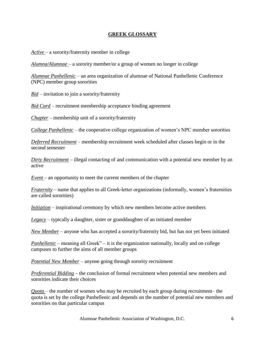### **GREEK GLOSSARY**

*Active* – a sorority/fraternity member in college

*Alumna/Alumnae* – a sorority member/or a group of women no longer in college

*Alumnae Panhellenic* – an area organization of alumnae of National Panhellenic Conference (NPC) member group sororities

*Bid* – invitation to join a sorority/fraternity

*Bid Card* – recruitment membership acceptance binding agreement

*Chapter* – membership unit of a sorority/fraternity

*College Panhellenic* – the cooperative college organization of women's NPC member sororities

*Deferred Recruitment* – membership recruitment week scheduled after classes begin or in the second semester

*Dirty Recruitment* – illegal contacting of and communication with a potential new member by an active

*Event* – an opportunity to meet the current members of the chapter

*Fraternity* – name that applies to all Greek-letter organizations (informally, women's fraternities are called sororities)

*Initiation* – inspirational ceremony by which new members become active members

*Legacy* – typically a daughter, sister or granddaughter of an initiated member

*New Member* – anyone who has accepted a sorority/fraternity bid, but has not yet been initiated

*Panhellenic* – meaning all Greek" – it is the organization nationally, locally and on college campuses to further the aims of all member groups

*Potential New Member* – anyone going through sorority recruitment

*Preferential Bidding* – the conclusion of formal recruitment when potential new members and sororities indicate their choices

*Quota* – the number of women who may be recruited by each group during recruitment– the quota is set by the college Panhellenic and depends on the number of potential new members and sororities on that particular campus